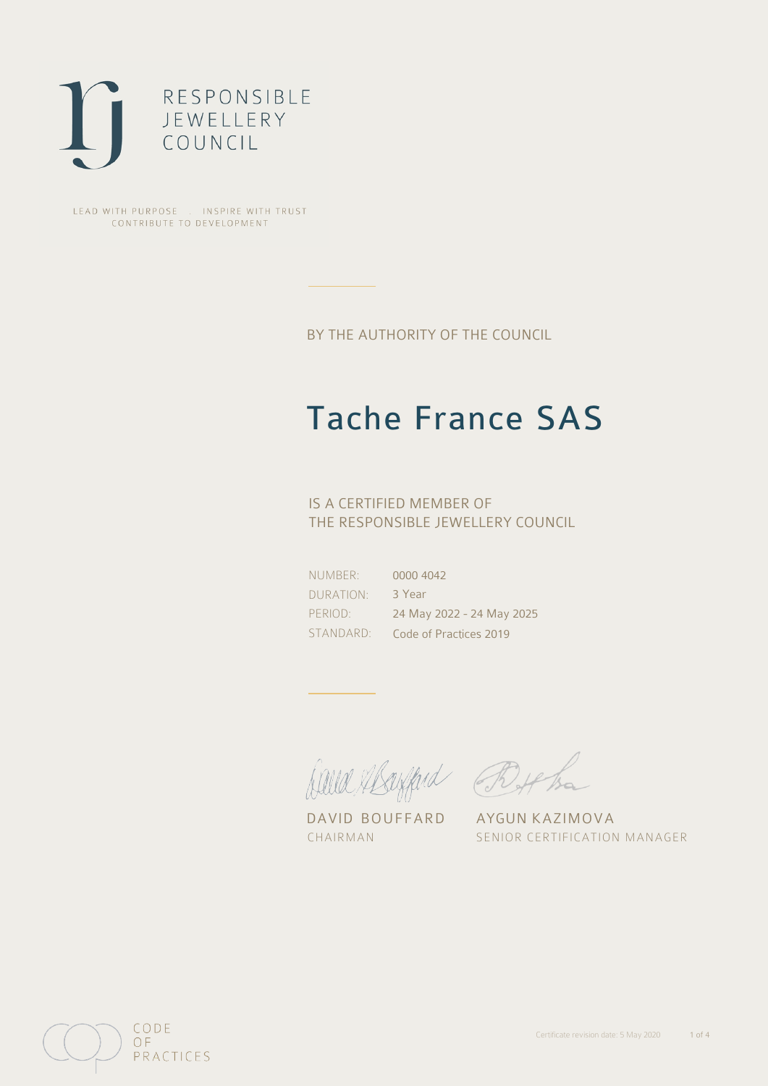

LEAD WITH PURPOSE . INSPIRE WITH TRUST CONTRIBUTE TO DEVELOPMENT

BY THE AUTHORITY OF THE COUNCIL

# Tache France SAS

## IS A CERTIFIED MEMBER OF THE RESPONSIBLE JEWELLERY COUNCIL

NUMBER: DURATION: PERIOD:

STANDARD: Code of Practices 2019 0000 4042 3 Year 24 May 2022 - 24 May 2025

Alle Abrigand Bythe

DAVID BOUFFARD AYGUN KAZIMOVA

CHAIRMAN SENIOR CERTIFICATION MANAGER

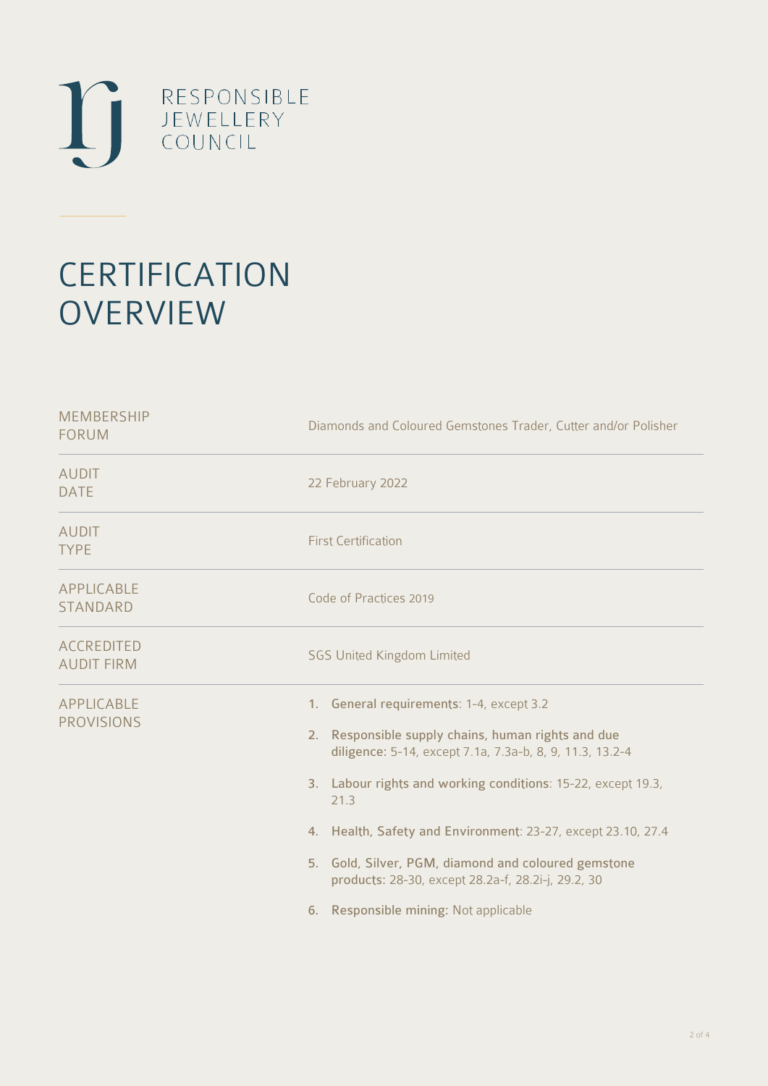

# **CERTIFICATION OVERVIEW**

| Diamonds and Coloured Gemstones Trader, Cutter and/or Polisher                                                                                                                                                                                                                                                                                                                                                                                              |
|-------------------------------------------------------------------------------------------------------------------------------------------------------------------------------------------------------------------------------------------------------------------------------------------------------------------------------------------------------------------------------------------------------------------------------------------------------------|
| 22 February 2022                                                                                                                                                                                                                                                                                                                                                                                                                                            |
| <b>First Certification</b>                                                                                                                                                                                                                                                                                                                                                                                                                                  |
| Code of Practices 2019                                                                                                                                                                                                                                                                                                                                                                                                                                      |
| <b>SGS United Kingdom Limited</b>                                                                                                                                                                                                                                                                                                                                                                                                                           |
| 1. General requirements: 1-4, except 3.2<br>2. Responsible supply chains, human rights and due<br>diligence: 5-14, except 7.1a, 7.3a-b, 8, 9, 11.3, 13.2-4<br>3. Labour rights and working conditions: 15-22, except 19.3,<br>21.3<br>4. Health, Safety and Environment: 23-27, except 23.10, 27.4<br>5. Gold, Silver, PGM, diamond and coloured gemstone<br>products: 28-30, except 28.2a-f, 28.2i-j, 29.2, 30<br>Responsible mining: Not applicable<br>6. |
|                                                                                                                                                                                                                                                                                                                                                                                                                                                             |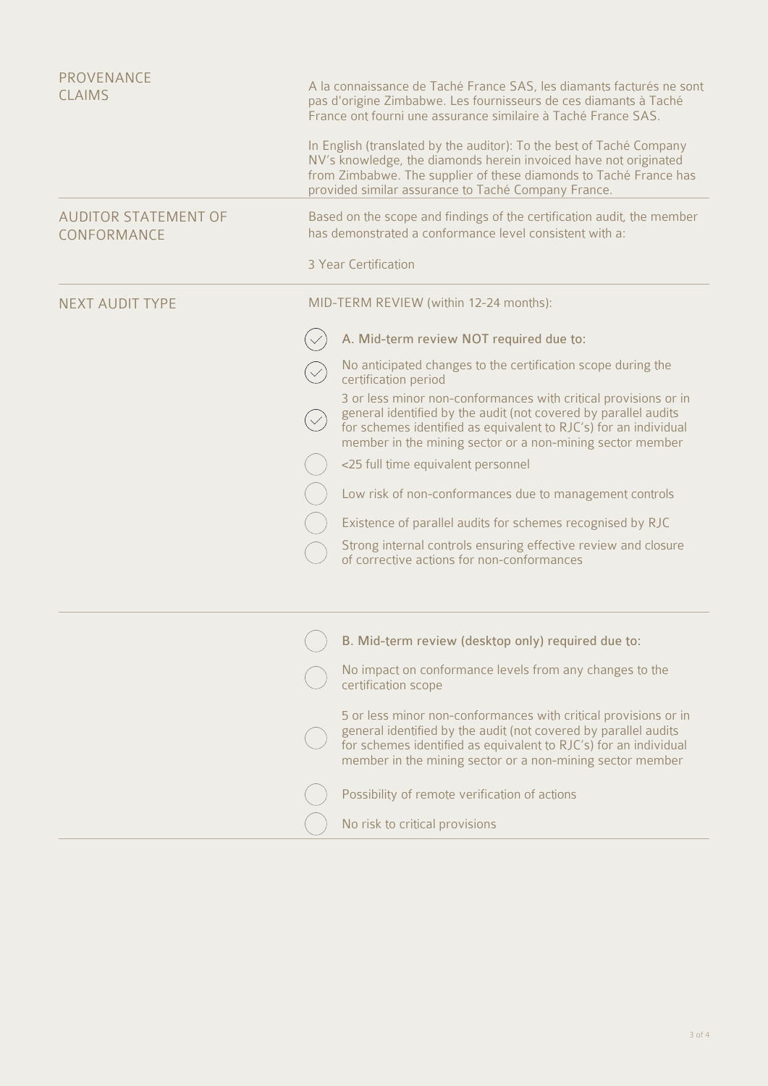| <b>PROVENANCE</b><br><b>CLAIMS</b>         | A la connaissance de Taché France SAS, les diamants facturés ne sont<br>pas d'origine Zimbabwe. Les fournisseurs de ces diamants à Taché<br>France ont fourni une assurance similaire à Taché France SAS.                                                            |
|--------------------------------------------|----------------------------------------------------------------------------------------------------------------------------------------------------------------------------------------------------------------------------------------------------------------------|
|                                            | In English (translated by the auditor): To the best of Taché Company<br>NV's knowledge, the diamonds herein invoiced have not originated<br>from Zimbabwe. The supplier of these diamonds to Taché France has<br>provided similar assurance to Taché Company France. |
| <b>AUDITOR STATEMENT OF</b><br>CONFORMANCE | Based on the scope and findings of the certification audit, the member<br>has demonstrated a conformance level consistent with a:                                                                                                                                    |
|                                            | 3 Year Certification                                                                                                                                                                                                                                                 |
| <b>NEXT AUDIT TYPE</b>                     | MID-TERM REVIEW (within 12-24 months):                                                                                                                                                                                                                               |
|                                            | A. Mid-term review NOT required due to:                                                                                                                                                                                                                              |
|                                            | No anticipated changes to the certification scope during the<br>certification period                                                                                                                                                                                 |
|                                            | 3 or less minor non-conformances with critical provisions or in<br>general identified by the audit (not covered by parallel audits<br>for schemes identified as equivalent to RJC's) for an individual<br>member in the mining sector or a non-mining sector member  |
|                                            | <25 full time equivalent personnel                                                                                                                                                                                                                                   |
|                                            | Low risk of non-conformances due to management controls                                                                                                                                                                                                              |
|                                            | Existence of parallel audits for schemes recognised by RJC                                                                                                                                                                                                           |
|                                            | Strong internal controls ensuring effective review and closure<br>of corrective actions for non-conformances                                                                                                                                                         |
|                                            | B. Mid-term review (desktop only) required due to:                                                                                                                                                                                                                   |
|                                            | No impact on conformance levels from any changes to the<br>certification scope                                                                                                                                                                                       |
|                                            | 5 or less minor non-conformances with critical provisions or in<br>general identified by the audit (not covered by parallel audits<br>for schemes identified as equivalent to RJC's) for an individual<br>member in the mining sector or a non-mining sector member  |
|                                            | Possibility of remote verification of actions                                                                                                                                                                                                                        |
|                                            | No risk to critical provisions                                                                                                                                                                                                                                       |